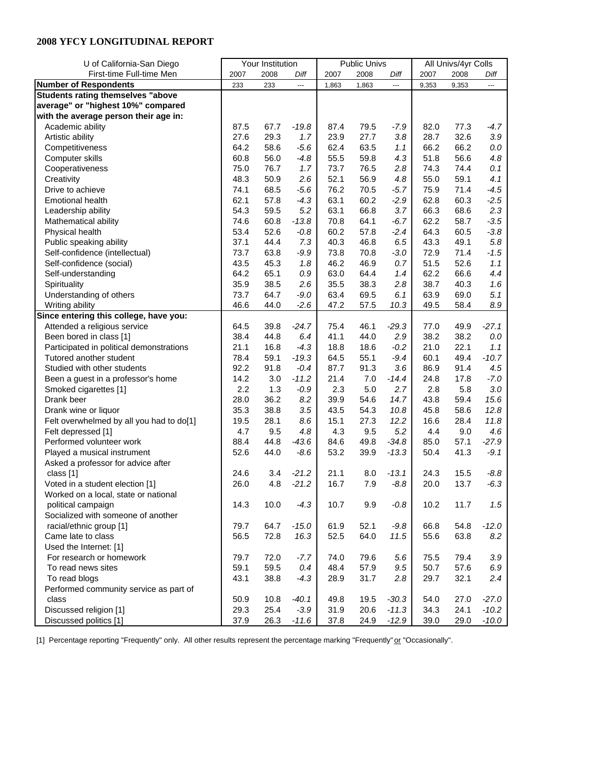| U of California-San Diego                |      | Your Institution |         |       | <b>Public Univs</b> |         | All Univs/4yr Colls |       |         |
|------------------------------------------|------|------------------|---------|-------|---------------------|---------|---------------------|-------|---------|
| First-time Full-time Men                 | 2007 | 2008             | Diff    | 2007  | 2008                | Diff    | 2007                | 2008  | Diff    |
| <b>Number of Respondents</b>             | 233  | 233              | ---     | 1,863 | 1,863               | ---     | 9,353               | 9,353 | ---     |
| <b>Students rating themselves "above</b> |      |                  |         |       |                     |         |                     |       |         |
| average" or "highest 10%" compared       |      |                  |         |       |                     |         |                     |       |         |
| with the average person their age in:    |      |                  |         |       |                     |         |                     |       |         |
| Academic ability                         | 87.5 | 67.7             | $-19.8$ | 87.4  | 79.5                | $-7.9$  | 82.0                | 77.3  | $-4.7$  |
| Artistic ability                         | 27.6 | 29.3             | 1.7     | 23.9  | 27.7                | 3.8     | 28.7                | 32.6  | $3.9\,$ |
| Competitiveness                          | 64.2 | 58.6             | $-5.6$  | 62.4  | 63.5                | 1.1     | 66.2                | 66.2  | $0.0\,$ |
| Computer skills                          | 60.8 | 56.0             | $-4.8$  | 55.5  | 59.8                | 4.3     | 51.8                | 56.6  | 4.8     |
| Cooperativeness                          | 75.0 | 76.7             | 1.7     | 73.7  | 76.5                | 2.8     | 74.3                | 74.4  | 0.1     |
| Creativity                               | 48.3 | 50.9             | 2.6     | 52.1  | 56.9                | 4.8     | 55.0                | 59.1  | 4.1     |
| Drive to achieve                         | 74.1 | 68.5             | $-5.6$  | 76.2  | 70.5                | $-5.7$  | 75.9                | 71.4  | $-4.5$  |
| <b>Emotional health</b>                  | 62.1 | 57.8             | $-4.3$  | 63.1  | 60.2                | $-2.9$  | 62.8                | 60.3  | $-2.5$  |
| Leadership ability                       | 54.3 | 59.5             | 5.2     | 63.1  | 66.8                | 3.7     | 66.3                | 68.6  | 2.3     |
| Mathematical ability                     | 74.6 | 60.8             | $-13.8$ | 70.8  | 64.1                | $-6.7$  | 62.2                | 58.7  | $-3.5$  |
| Physical health                          | 53.4 | 52.6             | $-0.8$  | 60.2  | 57.8                | $-2.4$  | 64.3                | 60.5  | $-3.8$  |
| Public speaking ability                  | 37.1 | 44.4             | 7.3     | 40.3  | 46.8                | 6.5     | 43.3                | 49.1  | $5.8\,$ |
| Self-confidence (intellectual)           | 73.7 | 63.8             | $-9.9$  | 73.8  | 70.8                | $-3.0$  | 72.9                | 71.4  | $-1.5$  |
| Self-confidence (social)                 | 43.5 | 45.3             | 1.8     | 46.2  | 46.9                | 0.7     | 51.5                | 52.6  | 1.1     |
| Self-understanding                       | 64.2 | 65.1             | 0.9     | 63.0  | 64.4                | 1.4     | 62.2                | 66.6  | 4.4     |
| Spirituality                             | 35.9 | 38.5             | 2.6     | 35.5  | 38.3                | 2.8     | 38.7                | 40.3  | 1.6     |
| Understanding of others                  | 73.7 | 64.7             | $-9.0$  | 63.4  | 69.5                | 6.1     | 63.9                | 69.0  | 5.1     |
| Writing ability                          | 46.6 | 44.0             | $-2.6$  | 47.2  | 57.5                | 10.3    | 49.5                | 58.4  | $8.9\,$ |
| Since entering this college, have you:   |      |                  |         |       |                     |         |                     |       |         |
| Attended a religious service             | 64.5 | 39.8             | $-24.7$ | 75.4  | 46.1                | $-29.3$ | 77.0                | 49.9  | $-27.1$ |
| Been bored in class [1]                  | 38.4 | 44.8             | 6.4     | 41.1  | 44.0                | 2.9     | 38.2                | 38.2  | $0.0\,$ |
| Participated in political demonstrations | 21.1 | 16.8             | $-4.3$  | 18.8  | 18.6                | $-0.2$  | 21.0                | 22.1  | 1.1     |
| Tutored another student                  | 78.4 | 59.1             | $-19.3$ | 64.5  | 55.1                | $-9.4$  | 60.1                | 49.4  | $-10.7$ |
| Studied with other students              | 92.2 | 91.8             | $-0.4$  | 87.7  | 91.3                | 3.6     | 86.9                | 91.4  | 4.5     |
| Been a guest in a professor's home       | 14.2 | 3.0              | $-11.2$ | 21.4  | $7.0$               | $-14.4$ | 24.8                | 17.8  | $-7.0$  |
| Smoked cigarettes [1]                    | 2.2  | 1.3              | $-0.9$  | 2.3   | 5.0                 | 2.7     | 2.8                 | 5.8   | 3.0     |
| Drank beer                               | 28.0 | 36.2             | 8.2     | 39.9  | 54.6                | 14.7    | 43.8                | 59.4  | 15.6    |
| Drank wine or liquor                     | 35.3 | 38.8             | 3.5     | 43.5  | 54.3                | 10.8    | 45.8                | 58.6  | 12.8    |
| Felt overwhelmed by all you had to do[1] | 19.5 | 28.1             | 8.6     | 15.1  | 27.3                | 12.2    | 16.6                | 28.4  | 11.8    |
| Felt depressed [1]                       | 4.7  | 9.5              | 4.8     | 4.3   | 9.5                 | 5.2     | 4.4                 | 9.0   | 4.6     |
| Performed volunteer work                 | 88.4 | 44.8             | $-43.6$ | 84.6  | 49.8                | $-34.8$ | 85.0                | 57.1  | $-27.9$ |
| Played a musical instrument              | 52.6 | 44.0             | $-8.6$  | 53.2  | 39.9                | $-13.3$ | 50.4                | 41.3  | $-9.1$  |
| Asked a professor for advice after       |      |                  |         |       |                     |         |                     |       |         |
| class [1]                                | 24.6 | 3.4              | $-21.2$ | 21.1  | 8.0                 | $-13.1$ | 24.3                | 15.5  | $-8.8$  |
| Voted in a student election [1]          | 26.0 | 4.8              | $-21.2$ | 16.7  | 7.9                 | $-8.8$  | 20.0                | 13.7  | $-6.3$  |
| Worked on a local, state or national     |      |                  |         |       |                     |         |                     |       |         |
| political campaign                       | 14.3 | 10.0             | $-4.3$  | 10.7  | 9.9                 | $-0.8$  | 10.2                | 11.7  | 1.5     |
| Socialized with someone of another       |      |                  |         |       |                     |         |                     |       |         |
| racial/ethnic group [1]                  | 79.7 | 64.7             | $-15.0$ | 61.9  | 52.1                | $-9.8$  | 66.8                | 54.8  | $-12.0$ |
| Came late to class                       | 56.5 | 72.8             | 16.3    | 52.5  | 64.0                | 11.5    | 55.6                | 63.8  | 8.2     |
| Used the Internet: [1]                   |      |                  |         |       |                     |         |                     |       |         |
| For research or homework                 | 79.7 | 72.0             | $-7.7$  | 74.0  | 79.6                | 5.6     | 75.5                | 79.4  | 3.9     |
| To read news sites                       | 59.1 | 59.5             | 0.4     | 48.4  | 57.9                | $9.5\,$ | 50.7                | 57.6  | 6.9     |
| To read blogs                            | 43.1 | 38.8             | $-4.3$  | 28.9  | 31.7                | 2.8     | 29.7                | 32.1  | 2.4     |
| Performed community service as part of   |      |                  |         |       |                     |         |                     |       |         |
| class                                    | 50.9 | 10.8             | $-40.1$ | 49.8  | 19.5                | $-30.3$ | 54.0                | 27.0  | $-27.0$ |
| Discussed religion [1]                   | 29.3 | 25.4             | $-3.9$  | 31.9  | 20.6                | $-11.3$ | 34.3                | 24.1  | $-10.2$ |
| Discussed politics [1]                   | 37.9 | 26.3             | $-11.6$ | 37.8  | 24.9                | $-12.9$ | 39.0                | 29.0  | $-10.0$ |

[1] Percentage reporting "Frequently" only. All other results represent the percentage marking "Frequently" or "Occasionally".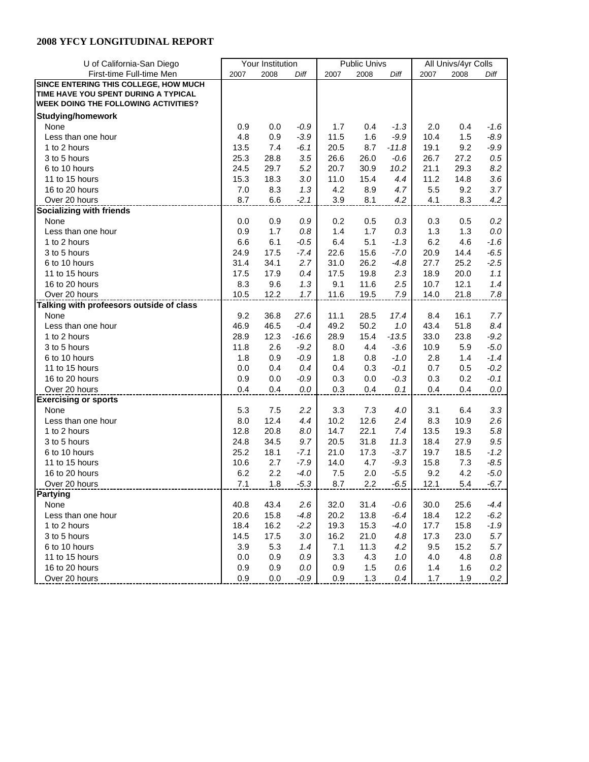| U of California-San Diego                   |      | Your Institution |         |      | <b>Public Univs</b> |                  | All Univs/4yr Colls |      |                  |
|---------------------------------------------|------|------------------|---------|------|---------------------|------------------|---------------------|------|------------------|
| First-time Full-time Men                    | 2007 | 2008             | Diff    | 2007 | 2008                | Diff             | 2007                | 2008 | Diff             |
| SINCE ENTERING THIS COLLEGE, HOW MUCH       |      |                  |         |      |                     |                  |                     |      |                  |
| TIME HAVE YOU SPENT DURING A TYPICAL        |      |                  |         |      |                     |                  |                     |      |                  |
| <b>WEEK DOING THE FOLLOWING ACTIVITIES?</b> |      |                  |         |      |                     |                  |                     |      |                  |
| <b>Studying/homework</b>                    |      |                  |         |      |                     |                  |                     |      |                  |
| None                                        | 0.9  | 0.0              | $-0.9$  | 1.7  | 0.4                 | $-1.3$           | 2.0                 | 0.4  | -1.6             |
| Less than one hour                          | 4.8  | 0.9              | $-3.9$  | 11.5 | 1.6                 | $-9.9$           | 10.4                | 1.5  | $-8.9$           |
| 1 to 2 hours                                | 13.5 | 7.4              | $-6.1$  | 20.5 | 8.7                 | $-11.8$          | 19.1                | 9.2  | $-9.9$           |
| 3 to 5 hours                                | 25.3 | 28.8             | 3.5     | 26.6 | 26.0                | $-0.6$           | 26.7                | 27.2 | $0.5\,$          |
| 6 to 10 hours                               | 24.5 | 29.7             | 5.2     | 20.7 | 30.9                | 10.2             | 21.1                | 29.3 | 8.2              |
| 11 to 15 hours                              | 15.3 | 18.3             | 3.0     | 11.0 | 15.4                | 4.4              | 11.2                | 14.8 | 3.6              |
| 16 to 20 hours                              | 7.0  | 8.3              | 1.3     | 4.2  | 8.9                 | 4.7              | 5.5                 | 9.2  | 3.7              |
| Over 20 hours                               | 8.7  | 6.6              | $-2.1$  | 3.9  | 8.1                 | 4.2              | 4.1                 | 8.3  | 4.2              |
| <b>Socializing with friends</b>             |      |                  |         |      |                     |                  |                     |      |                  |
| None                                        | 0.0  | 0.9              | 0.9     | 0.2  | 0.5                 | 0.3              | 0.3                 | 0.5  | $0.2\,$          |
| Less than one hour                          | 0.9  | 1.7              | 0.8     | 1.4  | 1.7                 | 0.3              | 1.3                 | 1.3  | $0.0\,$          |
| 1 to 2 hours                                | 6.6  | 6.1              | $-0.5$  | 6.4  | 5.1                 | $-1.3$           | 6.2                 | 4.6  | $-1.6$           |
| 3 to 5 hours                                | 24.9 | 17.5             | $-7.4$  | 22.6 | 15.6                | $-7.0$           | 20.9                | 14.4 | $-6.5$           |
| 6 to 10 hours                               | 31.4 | 34.1             | 2.7     | 31.0 | 26.2                | $-4.8$           | 27.7                | 25.2 | $-2.5$           |
| 11 to 15 hours                              | 17.5 | 17.9             | 0.4     | 17.5 | 19.8                | 2.3              | 18.9                | 20.0 | 1.1              |
| 16 to 20 hours                              | 8.3  | 9.6              | 1.3     | 9.1  | 11.6                | 2.5              | 10.7                | 12.1 | 1.4              |
| Over 20 hours                               | 10.5 | 12.2             | 1.7     | 11.6 | 19.5                | 7.9              | 14.0                | 21.8 | $7.8\,$          |
| Talking with profeesors outside of class    |      |                  |         |      |                     |                  |                     |      |                  |
| None                                        | 9.2  | 36.8             | 27.6    | 11.1 | 28.5                | 17.4             | 8.4                 | 16.1 | 7.7              |
| Less than one hour                          | 46.9 | 46.5             | $-0.4$  | 49.2 | 50.2                | 1.0              | 43.4                | 51.8 | 8.4              |
| 1 to 2 hours                                | 28.9 | 12.3             | $-16.6$ | 28.9 | 15.4                | $-13.5$          | 33.0                | 23.8 | $-9.2$           |
| 3 to 5 hours                                | 11.8 | 2.6              | $-9.2$  |      | 4.4                 |                  | 10.9                | 5.9  |                  |
| 6 to 10 hours                               | 1.8  |                  |         | 8.0  |                     | $-3.6$<br>$-1.0$ | 2.8                 | 1.4  | $-5.0$<br>$-1.4$ |
|                                             |      | 0.9              | $-0.9$  | 1.8  | 0.8                 |                  |                     |      |                  |
| 11 to 15 hours                              | 0.0  | 0.4              | 0.4     | 0.4  | 0.3                 | $-0.1$           | 0.7                 | 0.5  | $-0.2$           |
| 16 to 20 hours                              | 0.9  | 0.0              | $-0.9$  | 0.3  | 0.0                 | $-0.3$           | 0.3                 | 0.2  | $-0.1$           |
| Over 20 hours                               | 0.4  | 0.4              | 0.0     | 0.3  | 0.4                 | 0.1              | 0.4                 | 0.4  | 0.0              |
| <b>Exercising or sports</b>                 |      |                  |         |      |                     |                  |                     |      |                  |
| None                                        | 5.3  | 7.5              | 2.2     | 3.3  | 7.3                 | 4.0              | 3.1                 | 6.4  | 3.3              |
| Less than one hour                          | 8.0  | 12.4             | 4.4     | 10.2 | 12.6                | 2.4              | 8.3                 | 10.9 | 2.6              |
| 1 to 2 hours                                | 12.8 | 20.8             | 8.0     | 14.7 | 22.1                | 7.4              | 13.5                | 19.3 | $5.8\,$          |
| 3 to 5 hours                                | 24.8 | 34.5             | 9.7     | 20.5 | 31.8                | 11.3             | 18.4                | 27.9 | 9.5              |
| 6 to 10 hours                               | 25.2 | 18.1             | $-7.1$  | 21.0 | 17.3                | $-3.7$           | 19.7                | 18.5 | $-1.2$           |
| 11 to 15 hours                              | 10.6 | 2.7              | $-7.9$  | 14.0 | 4.7                 | $-9.3$           | 15.8                | 7.3  | $-8.5$           |
| 16 to 20 hours                              | 6.2  | 2.2              | $-4.0$  | 7.5  | 2.0                 | $-5.5$           | 9.2                 | 4.2  | $-5.0$           |
| Over 20 hours                               | 7.1  | 1.8              | $-5.3$  | 8.7  | 2.2                 | $-6.5$           | 12.1                | 5.4  | $-6.7$           |
| Partying                                    |      |                  |         |      |                     |                  |                     |      |                  |
| None                                        | 40.8 | 43.4             | 2.6     | 32.0 | 31.4                | $-0.6$           | 30.0                | 25.6 | $-4.4$           |
| Less than one hour                          | 20.6 | 15.8             | $-4.8$  | 20.2 | 13.8                | $-6.4$           | 18.4                | 12.2 | $-6.2$           |
| 1 to 2 hours                                | 18.4 | 16.2             | $-2.2$  | 19.3 | 15.3                | $-4.0$           | 17.7                | 15.8 | $-1.9$           |
| 3 to 5 hours                                | 14.5 | 17.5             | 3.0     | 16.2 | 21.0                | 4.8              | 17.3                | 23.0 | 5.7              |
| 6 to 10 hours                               | 3.9  | 5.3              | 1.4     | 7.1  | 11.3                | 4.2              | 9.5                 | 15.2 | 5.7              |
| 11 to 15 hours                              | 0.0  | 0.9              | 0.9     | 3.3  | 4.3                 | 1.0              | 4.0                 | 4.8  | $0.8\,$          |
| 16 to 20 hours                              | 0.9  | 0.9              | 0.0     | 0.9  | 1.5                 | 0.6              | 1.4                 | 1.6  | $0.2\,$          |
| Over 20 hours                               | 0.9  | 0.0              | $-0.9$  | 0.9  | 1.3                 | 0.4              | 1.7                 | 1.9  | 0.2              |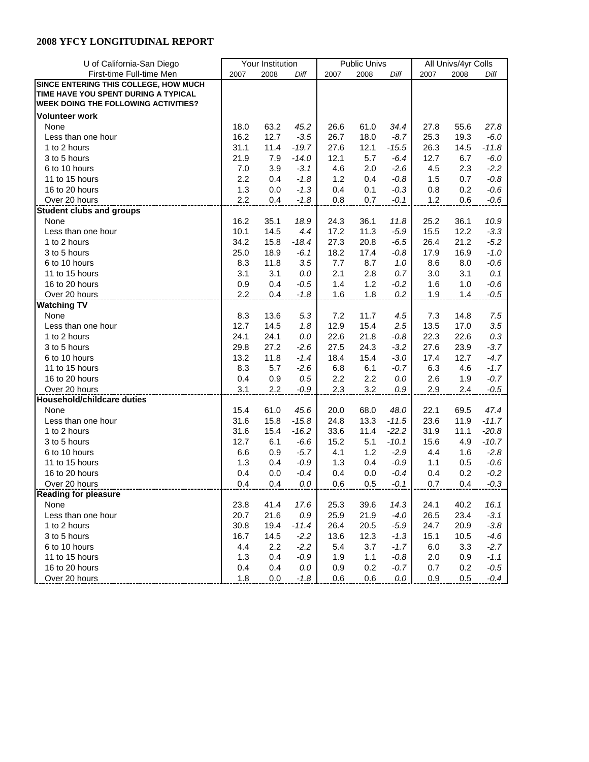| U of California-San Diego                   |      | Your Institution |         |      | <b>Public Univs</b> |         | All Univs/4yr Colls |      |         |
|---------------------------------------------|------|------------------|---------|------|---------------------|---------|---------------------|------|---------|
| First-time Full-time Men                    | 2007 | 2008             | Diff    | 2007 | 2008                | Diff    | 2007                | 2008 | Diff    |
| SINCE ENTERING THIS COLLEGE, HOW MUCH       |      |                  |         |      |                     |         |                     |      |         |
| TIME HAVE YOU SPENT DURING A TYPICAL        |      |                  |         |      |                     |         |                     |      |         |
| <b>WEEK DOING THE FOLLOWING ACTIVITIES?</b> |      |                  |         |      |                     |         |                     |      |         |
| <b>Volunteer work</b>                       |      |                  |         |      |                     |         |                     |      |         |
| None                                        | 18.0 | 63.2             | 45.2    | 26.6 | 61.0                | 34.4    | 27.8                | 55.6 | 27.8    |
| Less than one hour                          | 16.2 | 12.7             | $-3.5$  | 26.7 | 18.0                | $-8.7$  | 25.3                | 19.3 | $-6.0$  |
| 1 to 2 hours                                | 31.1 | 11.4             | $-19.7$ | 27.6 | 12.1                | $-15.5$ | 26.3                | 14.5 | $-11.8$ |
| 3 to 5 hours                                | 21.9 | 7.9              | $-14.0$ | 12.1 | 5.7                 | $-6.4$  | 12.7                | 6.7  | $-6.0$  |
| 6 to 10 hours                               | 7.0  | 3.9              | $-3.1$  | 4.6  | 2.0                 | $-2.6$  | 4.5                 | 2.3  | $-2.2$  |
| 11 to 15 hours                              | 2.2  | 0.4              | $-1.8$  | 1.2  | 0.4                 | $-0.8$  | 1.5                 | 0.7  | $-0.8$  |
| 16 to 20 hours                              | 1.3  | 0.0              | $-1.3$  | 0.4  | 0.1                 | $-0.3$  | 0.8                 | 0.2  | $-0.6$  |
| Over 20 hours                               | 2.2  | 0.4              | $-1.8$  | 0.8  | 0.7                 | $-0.1$  | 1.2                 | 0.6  | $-0.6$  |
| <b>Student clubs and groups</b>             |      |                  |         |      |                     |         |                     |      |         |
| None                                        | 16.2 | 35.1             | 18.9    | 24.3 | 36.1                | 11.8    | 25.2                | 36.1 | 10.9    |
| Less than one hour                          | 10.1 | 14.5             | 4.4     | 17.2 | 11.3                | $-5.9$  | 15.5                | 12.2 | $-3.3$  |
| 1 to 2 hours                                | 34.2 | 15.8             | $-18.4$ | 27.3 | 20.8                | $-6.5$  | 26.4                | 21.2 | $-5.2$  |
| 3 to 5 hours                                | 25.0 | 18.9             | $-6.1$  | 18.2 | 17.4                | $-0.8$  | 17.9                | 16.9 | $-1.0$  |
| 6 to 10 hours                               | 8.3  | 11.8             | 3.5     | 7.7  | 8.7                 | 1.0     | 8.6                 | 8.0  | $-0.6$  |
| 11 to 15 hours                              | 3.1  | 3.1              | 0.0     | 2.1  | 2.8                 | 0.7     | 3.0                 | 3.1  | 0.1     |
| 16 to 20 hours                              | 0.9  | 0.4              | $-0.5$  | 1.4  | 1.2                 | $-0.2$  | 1.6                 | 1.0  | $-0.6$  |
| Over 20 hours                               | 2.2  | 0.4              | $-1.8$  | 1.6  | 1.8                 | $0.2\,$ | 1.9                 | 1.4  | $-0.5$  |
| <b>Watching TV</b>                          |      |                  |         |      |                     |         |                     |      |         |
| None                                        | 8.3  | 13.6             | 5.3     | 7.2  | 11.7                | 4.5     | 7.3                 | 14.8 | 7.5     |
| Less than one hour                          | 12.7 | 14.5             | 1.8     | 12.9 | 15.4                | 2.5     | 13.5                | 17.0 | 3.5     |
| 1 to 2 hours                                | 24.1 | 24.1             | 0.0     | 22.6 | 21.8                | $-0.8$  | 22.3                | 22.6 | $0.3\,$ |
| 3 to 5 hours                                | 29.8 | 27.2             | $-2.6$  | 27.5 | 24.3                | $-3.2$  | 27.6                | 23.9 | $-3.7$  |
| 6 to 10 hours                               | 13.2 | 11.8             | $-1.4$  | 18.4 | 15.4                | $-3.0$  | 17.4                | 12.7 | $-4.7$  |
| 11 to 15 hours                              | 8.3  | 5.7              | $-2.6$  | 6.8  | 6.1                 | $-0.7$  | 6.3                 | 4.6  | $-1.7$  |
| 16 to 20 hours                              | 0.4  | 0.9              | 0.5     | 2.2  | 2.2                 | 0.0     | 2.6                 | 1.9  | $-0.7$  |
| Over 20 hours                               | 3.1  | 2.2              | $-0.9$  | 2.3  | 3.2                 |         | 2.9                 | 2.4  | $-0.5$  |
| <b>Household/childcare duties</b>           |      |                  |         |      |                     | 0.9     |                     |      |         |
|                                             |      |                  |         |      |                     |         |                     |      |         |
| None                                        | 15.4 | 61.0             | 45.6    | 20.0 | 68.0                | 48.0    | 22.1                | 69.5 | 47.4    |
| Less than one hour                          | 31.6 | 15.8             | $-15.8$ | 24.8 | 13.3                | $-11.5$ | 23.6                | 11.9 | $-11.7$ |
| 1 to 2 hours                                | 31.6 | 15.4             | $-16.2$ | 33.6 | 11.4                | $-22.2$ | 31.9                | 11.1 | $-20.8$ |
| 3 to 5 hours                                | 12.7 | 6.1              | $-6.6$  | 15.2 | 5.1                 | $-10.1$ | 15.6                | 4.9  | $-10.7$ |
| 6 to 10 hours                               | 6.6  | 0.9              | $-5.7$  | 4.1  | 1.2                 | $-2.9$  | 4.4                 | 1.6  | $-2.8$  |
| 11 to 15 hours                              | 1.3  | 0.4              | $-0.9$  | 1.3  | 0.4                 | $-0.9$  | 1.1                 | 0.5  | $-0.6$  |
| 16 to 20 hours                              | 0.4  | 0.0              | $-0.4$  | 0.4  | 0.0                 | $-0.4$  | 0.4                 | 0.2  | $-0.2$  |
| Over 20 hours                               | 0.4  | 0.4              | 0.0     | 0.6  | 0.5                 | $-0.1$  | 0.7                 | 0.4  | $-0.3$  |
| <b>Reading for pleasure</b>                 |      |                  |         |      |                     |         |                     |      |         |
| None                                        | 23.8 | 41.4             | 17.6    | 25.3 | 39.6                | 14.3    | 24.1                | 40.2 | 16.1    |
| Less than one hour                          | 20.7 | 21.6             | 0.9     | 25.9 | 21.9                | $-4.0$  | 26.5                | 23.4 | $-3.1$  |
| 1 to 2 hours                                | 30.8 | 19.4             | $-11.4$ | 26.4 | 20.5                | $-5.9$  | 24.7                | 20.9 | $-3.8$  |
| 3 to 5 hours                                | 16.7 | 14.5             | $-2.2$  | 13.6 | 12.3                | $-1.3$  | 15.1                | 10.5 | $-4.6$  |
| 6 to 10 hours                               | 4.4  | 2.2              | $-2.2$  | 5.4  | 3.7                 | $-1.7$  | 6.0                 | 3.3  | $-2.7$  |
| 11 to 15 hours                              | 1.3  | 0.4              | $-0.9$  | 1.9  | 1.1                 | $-0.8$  | 2.0                 | 0.9  | $-1.1$  |
| 16 to 20 hours                              | 0.4  | 0.4              | 0.0     | 0.9  | 0.2                 | $-0.7$  | 0.7                 | 0.2  | $-0.5$  |
| Over 20 hours                               | 1.8  | 0.0              | $-1.8$  | 0.6  | 0.6                 | 0.0     | 0.9                 | 0.5  | $-0.4$  |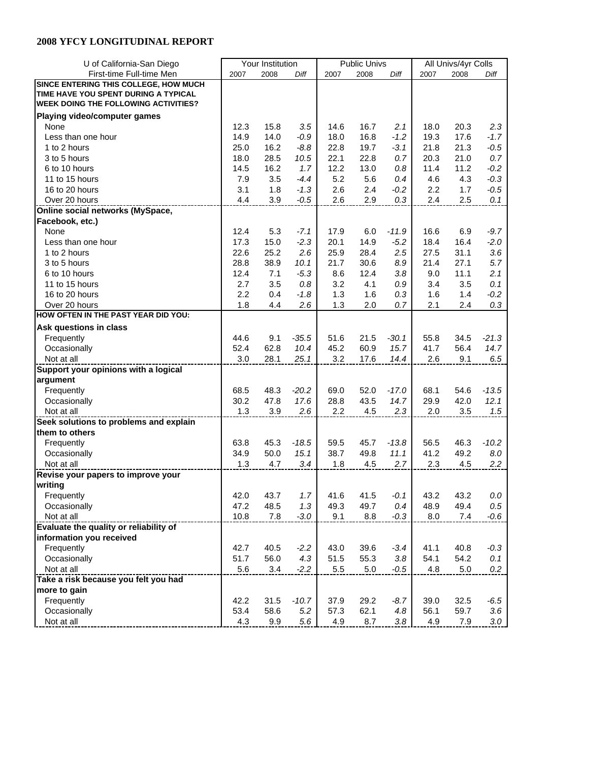| U of California-San Diego                   |      | Your Institution |         |      | <b>Public Univs</b> |         | All Univs/4yr Colls |      |         |
|---------------------------------------------|------|------------------|---------|------|---------------------|---------|---------------------|------|---------|
| First-time Full-time Men                    | 2007 | 2008             | Diff    | 2007 | 2008                | Diff    | 2007                | 2008 | Diff    |
| SINCE ENTERING THIS COLLEGE, HOW MUCH       |      |                  |         |      |                     |         |                     |      |         |
| TIME HAVE YOU SPENT DURING A TYPICAL        |      |                  |         |      |                     |         |                     |      |         |
| <b>WEEK DOING THE FOLLOWING ACTIVITIES?</b> |      |                  |         |      |                     |         |                     |      |         |
| Playing video/computer games                |      |                  |         |      |                     |         |                     |      |         |
| None                                        | 12.3 | 15.8             | 3.5     | 14.6 | 16.7                | 2.1     | 18.0                | 20.3 | 2.3     |
| Less than one hour                          | 14.9 | 14.0             | $-0.9$  | 18.0 | 16.8                | $-1.2$  | 19.3                | 17.6 | $-1.7$  |
| 1 to 2 hours                                | 25.0 | 16.2             | $-8.8$  | 22.8 | 19.7                | $-3.1$  | 21.8                | 21.3 | $-0.5$  |
| 3 to 5 hours                                | 18.0 | 28.5             | 10.5    | 22.1 | 22.8                | 0.7     | 20.3                | 21.0 | 0.7     |
| 6 to 10 hours                               | 14.5 | 16.2             | 1.7     | 12.2 | 13.0                | 0.8     | 11.4                | 11.2 | $-0.2$  |
| 11 to 15 hours                              | 7.9  | 3.5              | $-4.4$  | 5.2  | 5.6                 | 0.4     | 4.6                 |      | $-0.3$  |
|                                             | 3.1  |                  |         |      |                     |         | 2.2                 | 4.3  |         |
| 16 to 20 hours<br>Over 20 hours             | 4.4  | 1.8              | $-1.3$  | 2.6  | 2.4                 | $-0.2$  |                     | 1.7  | $-0.5$  |
|                                             |      | 3.9              | $-0.5$  | 2.6  | 2.9                 | 0.3     | 2.4                 | 2.5  | 0.1     |
| Online social networks (MySpace,            |      |                  |         |      |                     |         |                     |      |         |
| Facebook, etc.)                             |      |                  |         |      |                     |         |                     |      |         |
| None                                        | 12.4 | 5.3              | $-7.1$  | 17.9 | 6.0                 | $-11.9$ | 16.6                | 6.9  | $-9.7$  |
| Less than one hour                          | 17.3 | 15.0             | $-2.3$  | 20.1 | 14.9                | $-5.2$  | 18.4                | 16.4 | $-2.0$  |
| 1 to 2 hours                                | 22.6 | 25.2             | 2.6     | 25.9 | 28.4                | 2.5     | 27.5                | 31.1 | 3.6     |
| 3 to 5 hours                                | 28.8 | 38.9             | 10.1    | 21.7 | 30.6                | 8.9     | 21.4                | 27.1 | 5.7     |
| 6 to 10 hours                               | 12.4 | 7.1              | $-5.3$  | 8.6  | 12.4                | 3.8     | 9.0                 | 11.1 | 2.1     |
| 11 to 15 hours                              | 2.7  | 3.5              | 0.8     | 3.2  | 4.1                 | 0.9     | 3.4                 | 3.5  | 0.1     |
| 16 to 20 hours                              | 2.2  | 0.4              | $-1.8$  | 1.3  | 1.6                 | 0.3     | 1.6                 | 1.4  | $-0.2$  |
| Over 20 hours                               | 1.8  | 4.4              | 2.6     | 1.3  | 2.0                 | 0.7     | 2.1                 | 2.4  | 0.3     |
| HOW OFTEN IN THE PAST YEAR DID YOU:         |      |                  |         |      |                     |         |                     |      |         |
| Ask questions in class                      |      |                  |         |      |                     |         |                     |      |         |
| Frequently                                  | 44.6 | 9.1              | $-35.5$ | 51.6 | 21.5                | $-30.1$ | 55.8                | 34.5 | $-21.3$ |
| Occasionally                                | 52.4 | 62.8             | 10.4    | 45.2 | 60.9                | 15.7    | 41.7                | 56.4 | 14.7    |
| Not at all                                  | 3.0  | 28.1             | 25.1    | 3.2  | 17.6                | 14.4    | 2.6                 | 9.1  | 6.5     |
| Support your opinions with a logical        |      |                  |         |      |                     |         |                     |      |         |
| argument                                    |      |                  |         |      |                     |         |                     |      |         |
| Frequently                                  | 68.5 | 48.3             | $-20.2$ | 69.0 | 52.0                | $-17.0$ | 68.1                | 54.6 | $-13.5$ |
| Occasionally                                | 30.2 | 47.8             | 17.6    | 28.8 | 43.5                | 14.7    | 29.9                | 42.0 | 12.1    |
| Not at all                                  | 1.3  | 3.9              | 2.6     | 2.2  | 4.5                 | 2.3     | 2.0                 | 3.5  | 1.5     |
| Seek solutions to problems and explain      |      |                  |         |      |                     |         |                     |      |         |
| them to others                              |      |                  |         |      |                     |         |                     |      |         |
| Frequently                                  | 63.8 | 45.3             | $-18.5$ | 59.5 | 45.7                | $-13.8$ | 56.5                | 46.3 | $-10.2$ |
| Occasionally                                | 34.9 | 50.0             | 15.1    | 38.7 | 49.8                | 11.1    | 41.2                | 49.2 | 8.0     |
| Not at all                                  | 1.3  | 4.7              | 3.4     | 1.8  | 4.5                 | 2.7     | 2.3                 | 4.5  | $2.2\,$ |
| Revise your papers to improve your          |      |                  |         |      |                     |         |                     |      |         |
| writing                                     |      |                  |         |      |                     |         |                     |      |         |
| Frequently                                  | 42.0 | 43.7             | 1.7     | 41.6 | 41.5                | $-0.1$  | 43.2                | 43.2 | $0.0\,$ |
| Occasionally                                | 47.2 | 48.5             | 1.3     | 49.3 | 49.7                | 0.4     | 48.9                | 49.4 | 0.5     |
| Not at all                                  | 10.8 | 7.8              | $-3.0$  | 9.1  | 8.8                 | $-0.3$  | 8.0                 | 7.4  | $-0.6$  |
| Evaluate the quality or reliability of      |      |                  |         |      |                     |         |                     |      |         |
| information you received                    |      |                  |         |      |                     |         |                     |      |         |
| Frequently                                  | 42.7 | 40.5             | $-2.2$  | 43.0 | 39.6                | $-3.4$  | 41.1                | 40.8 | $-0.3$  |
| Occasionally                                | 51.7 | 56.0             | 4.3     | 51.5 | 55.3                | 3.8     | 54.1                | 54.2 | 0.1     |
| Not at all                                  | 5.6  | 3.4              | $-2.2$  | 5.5  | 5.0                 | $-0.5$  | 4.8                 | 5.0  | 0.2     |
| Take a risk because you felt you had        |      |                  |         |      |                     |         |                     |      |         |
| more to gain                                |      |                  |         |      |                     |         |                     |      |         |
| Frequently                                  | 42.2 | 31.5             | $-10.7$ | 37.9 | 29.2                | $-8.7$  | 39.0                | 32.5 | $-6.5$  |
| Occasionally                                | 53.4 | 58.6             | $5.2\,$ | 57.3 | 62.1                | 4.8     | 56.1                | 59.7 | 3.6     |
| Not at all                                  | 4.3  | 9.9              | 5.6     | 4.9  | 8.7                 | 3.8     | 4.9                 | 7.9  |         |
|                                             |      |                  |         |      |                     |         |                     |      | 3.0     |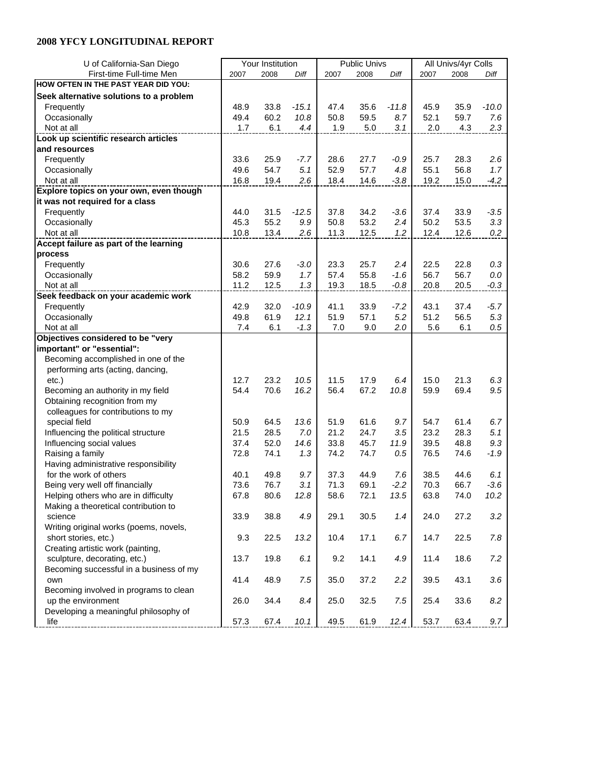| U of California-San Diego               | Your Institution |      |         |      | <b>Public Univs</b> |         | All Univs/4yr Colls |      |         |  |
|-----------------------------------------|------------------|------|---------|------|---------------------|---------|---------------------|------|---------|--|
| First-time Full-time Men                | 2007             | 2008 | Diff    | 2007 | 2008                | Diff    | 2007                | 2008 | Diff    |  |
| HOW OFTEN IN THE PAST YEAR DID YOU:     |                  |      |         |      |                     |         |                     |      |         |  |
| Seek alternative solutions to a problem |                  |      |         |      |                     |         |                     |      |         |  |
| Frequently                              | 48.9             | 33.8 | $-15.1$ | 47.4 | 35.6                | $-11.8$ | 45.9                | 35.9 | $-10.0$ |  |
| Occasionally                            | 49.4             | 60.2 | 10.8    | 50.8 | 59.5                | 8.7     | 52.1                | 59.7 | 7.6     |  |
| Not at all                              | 1.7              | 6.1  | 4.4     | 1.9  | 5.0                 | 3.1     | 2.0                 | 4.3  | 2.3     |  |
| Look up scientific research articles    |                  |      |         |      |                     |         |                     |      |         |  |
| and resources                           |                  |      |         |      |                     |         |                     |      |         |  |
| Frequently                              | 33.6             | 25.9 | $-7.7$  | 28.6 | 27.7                | -0.9    | 25.7                | 28.3 | 2.6     |  |
| Occasionally                            | 49.6             | 54.7 | 5.1     | 52.9 | 57.7                | 4.8     | 55.1                | 56.8 | 1.7     |  |
| Not at all                              | 16.8             | 19.4 | 2.6     | 18.4 | 14.6                | $-3.8$  | 19.2                | 15.0 | $-4.2$  |  |
| Explore topics on your own, even though |                  |      |         |      |                     |         |                     |      |         |  |
|                                         |                  |      |         |      |                     |         |                     |      |         |  |
| it was not required for a class         | 44.0             |      | $-12.5$ | 37.8 |                     |         | 37.4                |      | $-3.5$  |  |
| Frequently                              |                  | 31.5 |         |      | 34.2                | $-3.6$  |                     | 33.9 | 3.3     |  |
| Occasionally                            | 45.3             | 55.2 | 9.9     | 50.8 | 53.2                | 2.4     | 50.2                | 53.5 |         |  |
| Not at all                              | 10.8             | 13.4 | 2.6     | 11.3 | 12.5                | 1.2     | 12.4                | 12.6 | 0.2     |  |
| Accept failure as part of the learning  |                  |      |         |      |                     |         |                     |      |         |  |
| process                                 |                  |      |         |      |                     |         |                     |      |         |  |
| Frequently                              | 30.6             | 27.6 | $-3.0$  | 23.3 | 25.7                | 2.4     | 22.5                | 22.8 | 0.3     |  |
| Occasionally                            | 58.2             | 59.9 | 1.7     | 57.4 | 55.8                | $-1.6$  | 56.7                | 56.7 | 0.0     |  |
| Not at all                              | 11.2             | 12.5 | 1.3     | 19.3 | 18.5                | $-0.8$  | 20.8                | 20.5 | $-0.3$  |  |
| Seek feedback on your academic work     |                  |      |         |      |                     |         |                     |      |         |  |
| Frequently                              | 42.9             | 32.0 | $-10.9$ | 41.1 | 33.9                | -7.2    | 43.1                | 37.4 | $-5.7$  |  |
| Occasionally                            | 49.8             | 61.9 | 12.1    | 51.9 | 57.1                | 5.2     | 51.2                | 56.5 | $5.3\,$ |  |
| Not at all                              | 7.4              | 6.1  | $-1.3$  | 7.0  | 9.0                 | 2.0     | 5.6                 | 6.1  | $0.5\,$ |  |
| Objectives considered to be "very       |                  |      |         |      |                     |         |                     |      |         |  |
| important" or "essential":              |                  |      |         |      |                     |         |                     |      |         |  |
| Becoming accomplished in one of the     |                  |      |         |      |                     |         |                     |      |         |  |
| performing arts (acting, dancing,       |                  |      |         |      |                     |         |                     |      |         |  |
| $etc.$ )                                | 12.7             | 23.2 | 10.5    | 11.5 | 17.9                | 6.4     | 15.0                | 21.3 | 6.3     |  |
| Becoming an authority in my field       | 54.4             | 70.6 | 16.2    | 56.4 | 67.2                | 10.8    | 59.9                | 69.4 | 9.5     |  |
| Obtaining recognition from my           |                  |      |         |      |                     |         |                     |      |         |  |
| colleagues for contributions to my      |                  |      |         |      |                     |         |                     |      |         |  |
| special field                           | 50.9             | 64.5 | 13.6    | 51.9 | 61.6                | 9.7     | 54.7                | 61.4 | 6.7     |  |
| Influencing the political structure     | 21.5             | 28.5 | 7.0     | 21.2 | 24.7                | 3.5     | 23.2                | 28.3 | 5.1     |  |
| Influencing social values               | 37.4             | 52.0 | 14.6    | 33.8 | 45.7                | 11.9    | 39.5                | 48.8 | 9.3     |  |
| Raising a family                        | 72.8             | 74.1 | 1.3     | 74.2 | 74.7                | 0.5     | 76.5                | 74.6 | $-1.9$  |  |
| Having administrative responsibility    |                  |      |         |      |                     |         |                     |      |         |  |
| for the work of others                  | 40.1             | 49.8 | 9.7     | 37.3 | 44.9                | 7.6     | 38.5                | 44.6 | 6.1     |  |
| Being very well off financially         | 73.6             | 76.7 | 3.1     | 71.3 | 69.1                | $-2.2$  | 70.3                | 66.7 | $-3.6$  |  |
| Helping others who are in difficulty    | 67.8             | 80.6 | 12.8    | 58.6 | 72.1                | 13.5    | 63.8                | 74.0 | 10.2    |  |
| Making a theoretical contribution to    |                  |      |         |      |                     |         |                     |      |         |  |
| science                                 | 33.9             | 38.8 | 4.9     | 29.1 | 30.5                | 1.4     | 24.0                | 27.2 | 3.2     |  |
| Writing original works (poems, novels,  |                  |      |         |      |                     |         |                     |      |         |  |
| short stories, etc.)                    | 9.3              | 22.5 | 13.2    | 10.4 | 17.1                | 6.7     | 14.7                | 22.5 | $7.8\,$ |  |
| Creating artistic work (painting,       |                  |      |         |      |                     |         |                     |      |         |  |
| sculpture, decorating, etc.)            | 13.7             | 19.8 | 6.1     | 9.2  | 14.1                | 4.9     | 11.4                | 18.6 | 7.2     |  |
| Becoming successful in a business of my |                  |      |         |      |                     |         |                     |      |         |  |
| own                                     | 41.4             | 48.9 | 7.5     | 35.0 | 37.2                | 2.2     | 39.5                | 43.1 | 3.6     |  |
| Becoming involved in programs to clean  |                  |      |         |      |                     |         |                     |      |         |  |
| up the environment                      | 26.0             | 34.4 | 8.4     | 25.0 | 32.5                | 7.5     | 25.4                | 33.6 | $8.2\,$ |  |
| Developing a meaningful philosophy of   |                  |      |         |      |                     |         |                     |      |         |  |
| life                                    | 57.3             | 67.4 | 10.1    | 49.5 | 61.9                | 12.4    | 53.7                | 63.4 | 9.7     |  |